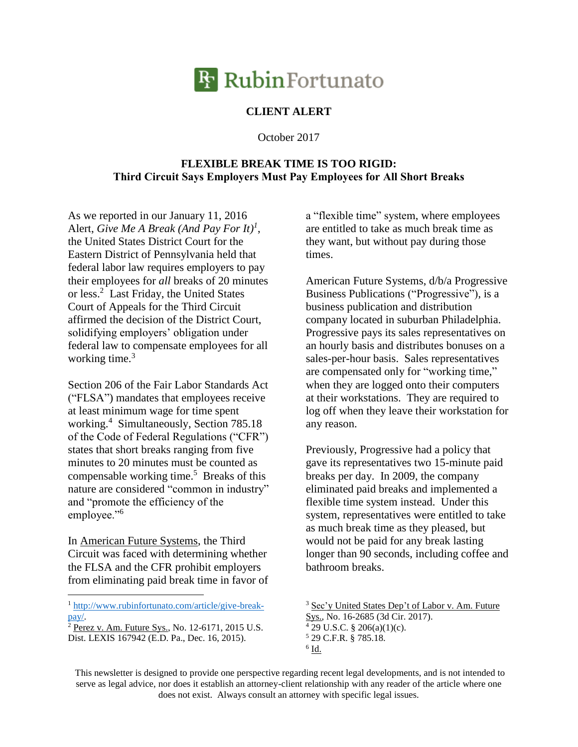

## **CLIENT ALERT**

October 2017

## **FLEXIBLE BREAK TIME IS TOO RIGID: Third Circuit Says Employers Must Pay Employees for All Short Breaks**

As we reported in our January 11, 2016 Alert, *Give Me A Break (And Pay For It) 1* , the United States District Court for the Eastern District of Pennsylvania held that federal labor law requires employers to pay their employees for *all* breaks of 20 minutes or less.<sup>2</sup> Last Friday, the United States Court of Appeals for the Third Circuit affirmed the decision of the District Court, solidifying employers' obligation under federal law to compensate employees for all working time.<sup>3</sup>

Section 206 of the Fair Labor Standards Act ("FLSA") mandates that employees receive at least minimum wage for time spent working. 4 Simultaneously, Section 785.18 of the Code of Federal Regulations ("CFR") states that short breaks ranging from five minutes to 20 minutes must be counted as compensable working time.<sup>5</sup> Breaks of this nature are considered "common in industry" and "promote the efficiency of the employee."<sup>6</sup>

In American Future Systems, the Third Circuit was faced with determining whether the FLSA and the CFR prohibit employers from eliminating paid break time in favor of

<sup>1</sup> [http://www.rubinfortunato.com/article/give-break](http://www.rubinfortunato.com/article/give-break-pay/)[pay/.](http://www.rubinfortunato.com/article/give-break-pay/)

 $\overline{a}$ 

 $2$  Perez v. Am. Future Sys., No. 12-6171, 2015 U.S. Dist. LEXIS 167942 (E.D. Pa., Dec. 16, 2015).

a "flexible time" system, where employees are entitled to take as much break time as they want, but without pay during those times.

American Future Systems, d/b/a Progressive Business Publications ("Progressive"), is a business publication and distribution company located in suburban Philadelphia. Progressive pays its sales representatives on an hourly basis and distributes bonuses on a sales-per-hour basis. Sales representatives are compensated only for "working time," when they are logged onto their computers at their workstations. They are required to log off when they leave their workstation for any reason.

Previously, Progressive had a policy that gave its representatives two 15-minute paid breaks per day. In 2009, the company eliminated paid breaks and implemented a flexible time system instead. Under this system, representatives were entitled to take as much break time as they pleased, but would not be paid for any break lasting longer than 90 seconds, including coffee and bathroom breaks.

This newsletter is designed to provide one perspective regarding recent legal developments, and is not intended to serve as legal advice, nor does it establish an attorney-client relationship with any reader of the article where one does not exist. Always consult an attorney with specific legal issues.

<sup>&</sup>lt;sup>3</sup> Sec'y United States Dep't of Labor v. Am. Future Sys., No. 16-2685 (3d Cir. 2017).  $4$  29 U.S.C. § 206(a)(1)(c). <sup>5</sup> 29 C.F.R. § 785.18.  $6$   $\underline{\text{Id}}$ .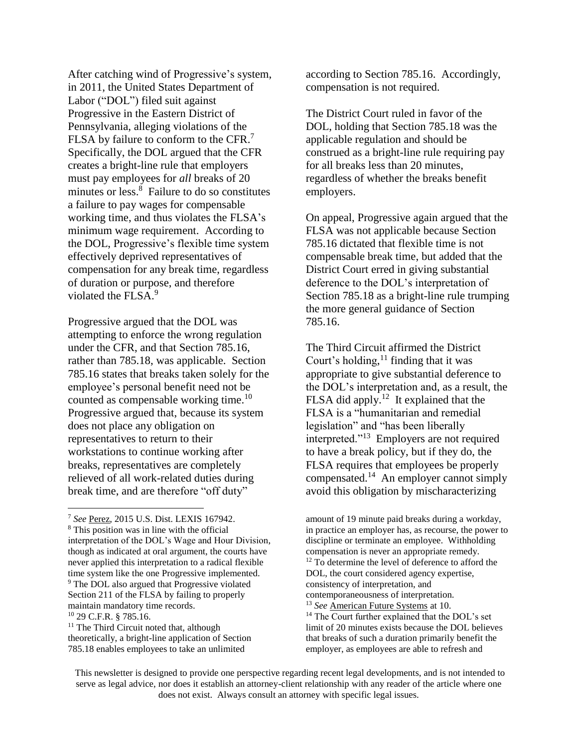After catching wind of Progressive's system, in 2011, the United States Department of Labor ("DOL") filed suit against Progressive in the Eastern District of Pennsylvania, alleging violations of the FLSA by failure to conform to the CFR.<sup>7</sup> Specifically, the DOL argued that the CFR creates a bright-line rule that employers must pay employees for *all* breaks of 20 minutes or less.<sup>8</sup> Failure to do so constitutes a failure to pay wages for compensable working time, and thus violates the FLSA's minimum wage requirement. According to the DOL, Progressive's flexible time system effectively deprived representatives of compensation for any break time, regardless of duration or purpose, and therefore violated the FLSA.<sup>9</sup>

Progressive argued that the DOL was attempting to enforce the wrong regulation under the CFR, and that Section 785.16, rather than 785.18, was applicable. Section 785.16 states that breaks taken solely for the employee's personal benefit need not be counted as compensable working time.<sup>10</sup> Progressive argued that, because its system does not place any obligation on representatives to return to their workstations to continue working after breaks, representatives are completely relieved of all work-related duties during break time, and are therefore "off duty"

 $\overline{a}$ 

according to Section 785.16. Accordingly, compensation is not required.

The District Court ruled in favor of the DOL, holding that Section 785.18 was the applicable regulation and should be construed as a bright-line rule requiring pay for all breaks less than 20 minutes, regardless of whether the breaks benefit employers.

On appeal, Progressive again argued that the FLSA was not applicable because Section 785.16 dictated that flexible time is not compensable break time, but added that the District Court erred in giving substantial deference to the DOL's interpretation of Section 785.18 as a bright-line rule trumping the more general guidance of Section 785.16.

<span id="page-1-0"></span>The Third Circuit affirmed the District Court's holding, $<sup>11</sup>$  finding that it was</sup> appropriate to give substantial deference to the DOL's interpretation and, as a result, the FLSA did apply.<sup>12</sup> It explained that the FLSA is a "humanitarian and remedial legislation" and "has been liberally interpreted."<sup>13</sup> Employers are not required to have a break policy, but if they do, the FLSA requires that employees be properly compensated. <sup>14</sup> An employer cannot simply avoid this obligation by mischaracterizing

amount of 19 minute paid breaks during a workday, in practice an employer has, as recourse, the power to discipline or terminate an employee. Withholding compensation is never an appropriate remedy. <sup>12</sup> To determine the level of deference to afford the DOL, the court considered agency expertise, consistency of interpretation, and contemporaneousness of interpretation. <sup>13</sup> *See* American Future Systems at 10. <sup>14</sup> The Court further explained that the DOL's set limit of 20 minutes exists because the DOL believes that breaks of such a duration primarily benefit the employer, as employees are able to refresh and

<sup>7</sup> *See* Perez, 2015 U.S. Dist. LEXIS 167942. <sup>8</sup> This position was in line with the official interpretation of the DOL's Wage and Hour Division, though as indicated at oral argument, the courts have never applied this interpretation to a radical flexible time system like the one Progressive implemented. <sup>9</sup> The DOL also argued that Progressive violated Section 211 of the FLSA by failing to properly maintain mandatory time records. <sup>10</sup> 29 C.F.R. § 785.16.

<sup>&</sup>lt;sup>11</sup> The Third Circuit noted that, although theoretically, a bright-line application of Section 785.18 enables employees to take an unlimited

This newsletter is designed to provide one perspective regarding recent legal developments, and is not intended to serve as legal advice, nor does it establish an attorney-client relationship with any reader of the article where one does not exist. Always consult an attorney with specific legal issues.